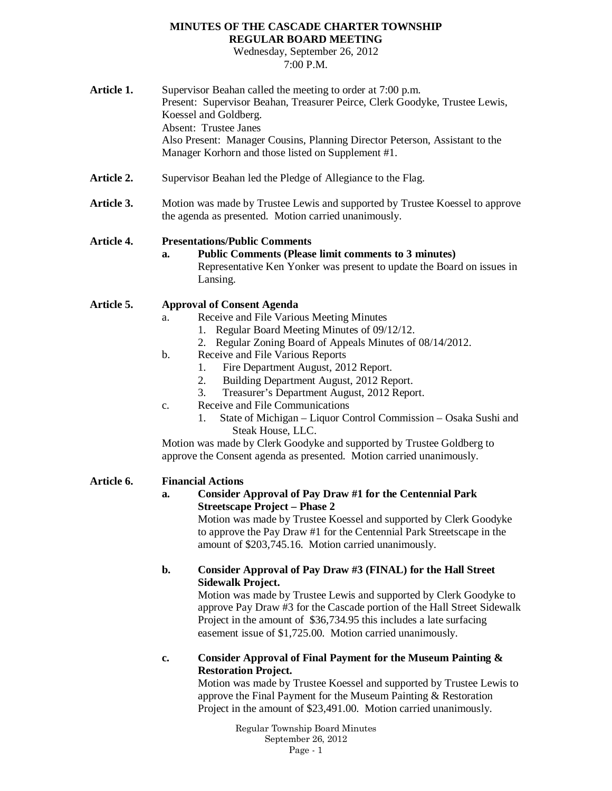#### **MINUTES OF THE CASCADE CHARTER TOWNSHIP REGULAR BOARD MEETING**

Wednesday, September 26, 2012 7:00 P.M.

Article 1. Supervisor Beahan called the meeting to order at 7:00 p.m. Present: Supervisor Beahan, Treasurer Peirce, Clerk Goodyke, Trustee Lewis, Koessel and Goldberg. Absent: Trustee Janes Also Present: Manager Cousins, Planning Director Peterson, Assistant to the Manager Korhorn and those listed on Supplement #1. Article 2. Supervisor Beahan led the Pledge of Allegiance to the Flag. Article 3. Motion was made by Trustee Lewis and supported by Trustee Koessel to approve the agenda as presented. Motion carried unanimously. **Article 4. Presentations/Public Comments a. Public Comments (Please limit comments to 3 minutes)** Representative Ken Yonker was present to update the Board on issues in Lansing. **Article 5. Approval of Consent Agenda** a. Receive and File Various Meeting Minutes 1. Regular Board Meeting Minutes of 09/12/12. 2. Regular Zoning Board of Appeals Minutes of 08/14/2012. b. Receive and File Various Reports 1. Fire Department August, 2012 Report. 2. Building Department August, 2012 Report. 3. Treasurer's Department August, 2012 Report. c. Receive and File Communications 1. State of Michigan – Liquor Control Commission – Osaka Sushi and Steak House, LLC. Motion was made by Clerk Goodyke and supported by Trustee Goldberg to approve the Consent agenda as presented. Motion carried unanimously. **Article 6. Financial Actions a. Consider Approval of Pay Draw #1 for the Centennial Park Streetscape Project – Phase 2** Motion was made by Trustee Koessel and supported by Clerk Goodyke to approve the Pay Draw #1 for the Centennial Park Streetscape in the amount of \$203,745.16. Motion carried unanimously. **b. Consider Approval of Pay Draw #3 (FINAL) for the Hall Street Sidewalk Project.** Motion was made by Trustee Lewis and supported by Clerk Goodyke to approve Pay Draw #3 for the Cascade portion of the Hall Street Sidewalk

Project in the amount of \$36,734.95 this includes a late surfacing easement issue of \$1,725.00. Motion carried unanimously.

**c. Consider Approval of Final Payment for the Museum Painting & Restoration Project.**

Motion was made by Trustee Koessel and supported by Trustee Lewis to approve the Final Payment for the Museum Painting & Restoration Project in the amount of \$23,491.00. Motion carried unanimously.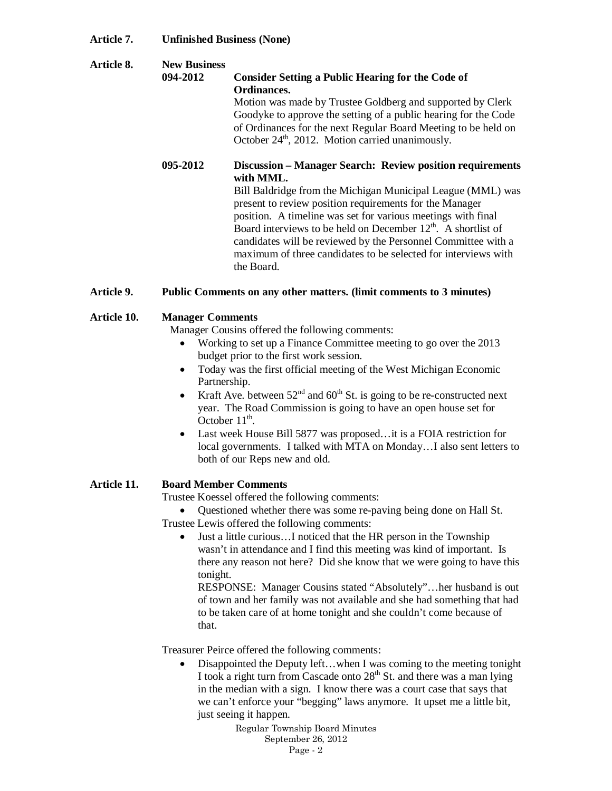## **Article 7. Unfinished Business (None)**

| Article 8. | <b>New Business</b><br>094-2012 | <b>Consider Setting a Public Hearing for the Code of</b><br>Ordinances.<br>Motion was made by Trustee Goldberg and supported by Clerk<br>Goodyke to approve the setting of a public hearing for the Code<br>of Ordinances for the next Regular Board Meeting to be held on<br>October 24 <sup>th</sup> , 2012. Motion carried unanimously. |
|------------|---------------------------------|--------------------------------------------------------------------------------------------------------------------------------------------------------------------------------------------------------------------------------------------------------------------------------------------------------------------------------------------|
|            | 095-2012                        | <b>Discussion – Manager Search: Review position requirements</b><br>with MML.                                                                                                                                                                                                                                                              |
|            |                                 | Bill Baldridge from the Michigan Municipal League (MML) was<br>present to review position requirements for the Manager<br>position. A timeline was set for various meetings with final                                                                                                                                                     |

position. A timeline was set for various meetings with final Board interviews to be held on December  $12<sup>th</sup>$ . A shortlist of candidates will be reviewed by the Personnel Committee with a maximum of three candidates to be selected for interviews with the Board.

#### **Article 9. Public Comments on any other matters. (limit comments to 3 minutes)**

## **Article 10. Manager Comments**

Manager Cousins offered the following comments:

- Working to set up a Finance Committee meeting to go over the 2013 budget prior to the first work session.
- Today was the first official meeting of the West Michigan Economic Partnership.
- Kraft Ave. between  $52<sup>nd</sup>$  and  $60<sup>th</sup>$  St. is going to be re-constructed next year. The Road Commission is going to have an open house set for October  $11<sup>th</sup>$ .
- Last week House Bill 5877 was proposed...it is a FOIA restriction for local governments. I talked with MTA on Monday…I also sent letters to both of our Reps new and old.

## **Article 11. Board Member Comments**

Trustee Koessel offered the following comments:

- Questioned whether there was some re-paving being done on Hall St.
- Trustee Lewis offered the following comments:
	- Just a little curious…I noticed that the HR person in the Township wasn't in attendance and I find this meeting was kind of important. Is there any reason not here? Did she know that we were going to have this tonight.

RESPONSE: Manager Cousins stated "Absolutely"…her husband is out of town and her family was not available and she had something that had to be taken care of at home tonight and she couldn't come because of that.

Treasurer Peirce offered the following comments:

• Disappointed the Deputy left…when I was coming to the meeting tonight I took a right turn from Cascade onto  $28<sup>th</sup>$  St. and there was a man lying in the median with a sign. I know there was a court case that says that we can't enforce your "begging" laws anymore. It upset me a little bit, just seeing it happen.

> Regular Township Board Minutes September 26, 2012 Page - 2